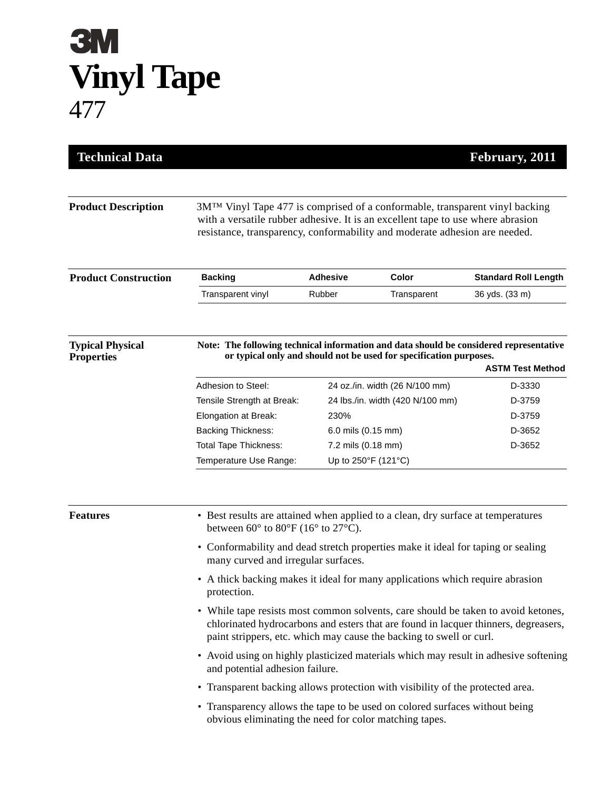## **3M Vinyl Tape** 477

| <b>Technical Data</b>                        |                                                                                                                                                                                                                                                                      |                     |                                  | February, 2011              |  |
|----------------------------------------------|----------------------------------------------------------------------------------------------------------------------------------------------------------------------------------------------------------------------------------------------------------------------|---------------------|----------------------------------|-----------------------------|--|
|                                              |                                                                                                                                                                                                                                                                      |                     |                                  |                             |  |
| <b>Product Description</b>                   | 3M™ Vinyl Tape 477 is comprised of a conformable, transparent vinyl backing<br>with a versatile rubber adhesive. It is an excellent tape to use where abrasion<br>resistance, transparency, conformability and moderate adhesion are needed.                         |                     |                                  |                             |  |
| <b>Product Construction</b>                  | <b>Backing</b>                                                                                                                                                                                                                                                       | <b>Adhesive</b>     | Color                            | <b>Standard Roll Length</b> |  |
|                                              | Transparent vinyl                                                                                                                                                                                                                                                    | Rubber              | Transparent                      | 36 yds. (33 m)              |  |
| <b>Typical Physical</b><br><b>Properties</b> | Note: The following technical information and data should be considered representative<br>or typical only and should not be used for specification purposes.<br><b>ASTM Test Method</b>                                                                              |                     |                                  |                             |  |
|                                              | Adhesion to Steel:                                                                                                                                                                                                                                                   |                     | 24 oz./in. width (26 N/100 mm)   | D-3330                      |  |
|                                              | Tensile Strength at Break:                                                                                                                                                                                                                                           |                     | 24 lbs./in. width (420 N/100 mm) | D-3759                      |  |
|                                              | Elongation at Break:                                                                                                                                                                                                                                                 | 230%                |                                  | D-3759                      |  |
|                                              | <b>Backing Thickness:</b>                                                                                                                                                                                                                                            | 6.0 mils (0.15 mm)  |                                  | D-3652                      |  |
|                                              | <b>Total Tape Thickness:</b>                                                                                                                                                                                                                                         | 7.2 mils (0.18 mm)  |                                  | D-3652                      |  |
|                                              | Temperature Use Range:                                                                                                                                                                                                                                               | Up to 250°F (121°C) |                                  |                             |  |
| <b>Features</b>                              | • Best results are attained when applied to a clean, dry surface at temperatures<br>between $60^{\circ}$ to $80^{\circ}$ F (16° to 27°C).<br>• Conformability and dead stretch properties make it ideal for taping or sealing<br>many curved and irregular surfaces. |                     |                                  |                             |  |
|                                              | • A thick backing makes it ideal for many applications which require abrasion<br>protection.                                                                                                                                                                         |                     |                                  |                             |  |
|                                              | • While tape resists most common solvents, care should be taken to avoid ketones,<br>chlorinated hydrocarbons and esters that are found in lacquer thinners, degreasers,<br>paint strippers, etc. which may cause the backing to swell or curl.                      |                     |                                  |                             |  |
|                                              | • Avoid using on highly plasticized materials which may result in adhesive softening<br>and potential adhesion failure.                                                                                                                                              |                     |                                  |                             |  |
|                                              | • Transparent backing allows protection with visibility of the protected area.                                                                                                                                                                                       |                     |                                  |                             |  |
|                                              | • Transparency allows the tape to be used on colored surfaces without being<br>obvious eliminating the need for color matching tapes.                                                                                                                                |                     |                                  |                             |  |